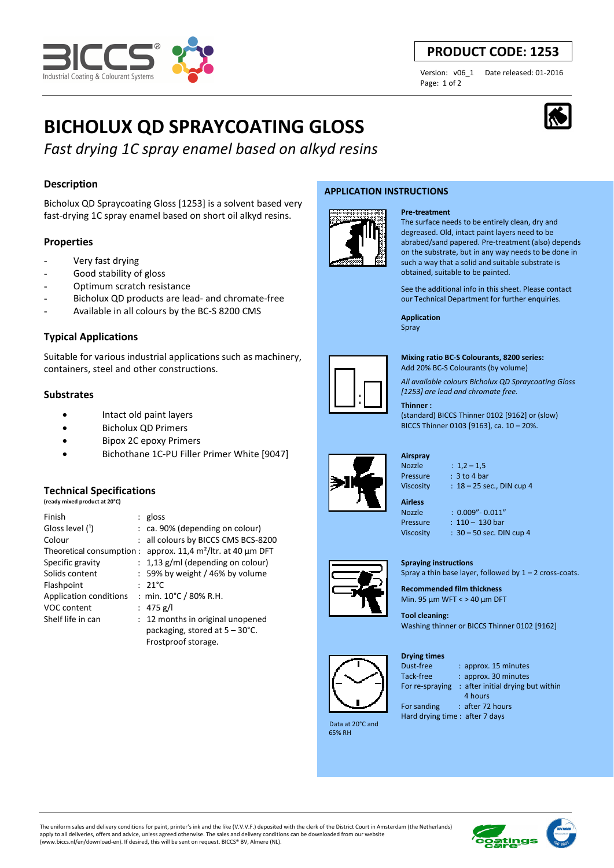

# **PRODUCT CODE: 1253**

Page: 1 of 2

Version: v06\_1 Date released: 01-2016

# **BICHOLUX QD SPRAYCOATING GLOSS**

*Fast drying 1C spray enamel based on alkyd resins*

# **Description**

Bicholux QD Spraycoating Gloss [1253] is a solvent based very fast-drying 1C spray enamel based on short oil alkyd resins.

# **Properties**

- Very fast drying
- Good stability of gloss
- Optimum scratch resistance
- Bicholux QD products are lead- and chromate-free
- Available in all colours by the BC-S 8200 CMS

# **Typical Applications**

Suitable for various industrial applications such as machinery, containers, steel and other constructions.

## **Substrates**

- Intact old paint layers
- Bicholux QD Primers
- Bipox 2C epoxy Primers
- Bichothane 1C-PU Filler Primer White [9047]

## **Technical Specifications**

|  | (ready mixed product at 20°C) |  |
|--|-------------------------------|--|

| Finish                    | : $gloss$                                |
|---------------------------|------------------------------------------|
| Gloss level (1)           | $:$ ca. 90% (depending on colour)        |
| Colour                    | : all colours by BICCS CMS BCS-8200      |
| Theoretical consumption : | approx. 11,4 $m^2$ /ltr. at 40 µm DFT    |
| Specific gravity          | $: 1,13$ g/ml (depending on colour)      |
| Solids content            | $: 59\%$ by weight / 46% by volume       |
| Flashpoint                | $: 21^{\circ}$ C                         |
| Application conditions    | : min. 10°C / 80% R.H.                   |
| VOC content               | : 475 g/l                                |
| Shelf life in can         | : 12 months in original unopened         |
|                           | packaging, stored at $5 - 30^{\circ}$ C. |
|                           | Frostproof storage.                      |

### **APPLICATION INSTRUCTIONS**



# **Pre-treatment**

The surface needs to be entirely clean, dry and degreased. Old, intact paint layers need to be abrabed/sand papered. Pre-treatment (also) depends on the substrate, but in any way needs to be done in such a way that a solid and suitable substrate is obtained, suitable to be painted.

See the additional info in this sheet. Please contact our Technical Department for further enquiries.

**Application**  Spray



**Mixing ratio BC-S Colourants, 8200 series:** 

Add 20% BC-S Colourants (by volume)

*All available colours Bicholux QD Spraycoating Gloss [1253] are lead and chromate free.*

#### **Thinner :**

(standard) BICCS Thinner 0102 [9162] or (slow) BICCS Thinner 0103 [9163], ca. 10 – 20%.

# **Airspray**

Nozzle : 1,2 – 1,5 Pressure : 3 to 4 bar Viscosity : 18 – 25 sec., DIN cup 4

**Airless** 

Nozzle : 0.009"- 0.011" Pressure : 110 - 130 bar

Viscosity : 30 – 50 sec. DIN cup 4

**Spraying instructions** 

Spray a thin base layer, followed by  $1 - 2$  cross-coats. **Recommended film thickness** 



 Data at 20°C and 65% RH

Min. 95 µm WFT < > 40 µm DFT **Tool cleaning:** 

Washing thinner or BICCS Thinner 0102 [9162]

**Drying times**



Dust-free : approx. 15 minutes Tack-free : approx. 30 minutes

For re-spraying : after initial drying but within 4 hours For sanding : after 72 hours

Hard drying time : after 7 days

The uniform sales and delivery conditions for paint, printer's ink and the like (V.V.V.F.) deposited with the clerk of the District Court in Amsterdam (the Netherlands) apply to all deliveries, offers and advice, unless agreed otherwise. The sales and delivery conditions can be downloaded from our website (www.biccs.nl/en/download-en). If desired, this will be sent on request. BICCS® BV, Almere (NL).